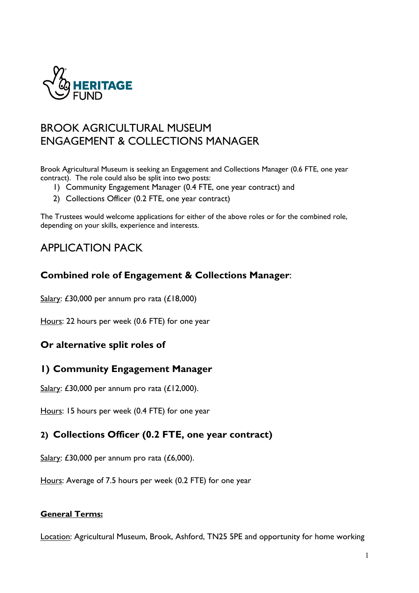

# BROOK AGRICULTURAL MUSEUM ENGAGEMENT & COLLECTIONS MANAGER

Brook Agricultural Museum is seeking an Engagement and Collections Manager (0.6 FTE, one year contract). The role could also be split into two posts:

- 1) Community Engagement Manager (0.4 FTE, one year contract) and
- 2) Collections Officer (0.2 FTE, one year contract)

The Trustees would welcome applications for either of the above roles or for the combined role, depending on your skills, experience and interests.

# APPLICATION PACK

## **Combined role of Engagement & Collections Manager**:

Salary: £30,000 per annum pro rata (£18,000)

Hours: 22 hours per week (0.6 FTE) for one year

## **Or alternative split roles of**

## **1) Community Engagement Manager**

Salary: £30,000 per annum pro rata (£12,000).

Hours: 15 hours per week (0.4 FTE) for one year

## **2) Collections Officer (0.2 FTE, one year contract)**

Salary: £30,000 per annum pro rata (£6,000).

Hours: Average of 7.5 hours per week (0.2 FTE) for one year

#### **General Terms:**

Location: Agricultural Museum, Brook, Ashford, TN25 5PE and opportunity for home working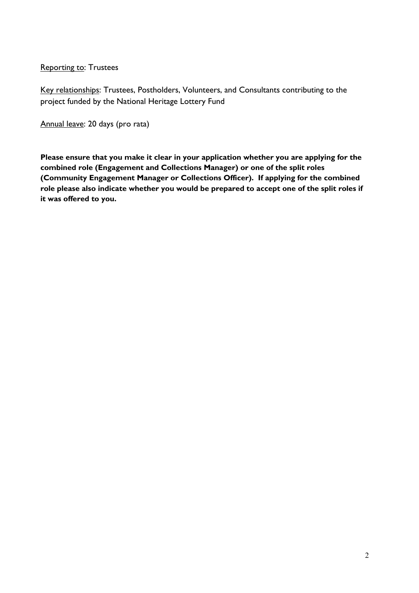**Reporting to: Trustees** 

Key relationships: Trustees, Postholders, Volunteers, and Consultants contributing to the project funded by the National Heritage Lottery Fund

Annual leave: 20 days (pro rata)

**Please ensure that you make it clear in your application whether you are applying for the combined role (Engagement and Collections Manager) or one of the split roles (Community Engagement Manager or Collections Officer). If applying for the combined role please also indicate whether you would be prepared to accept one of the split roles if it was offered to you.**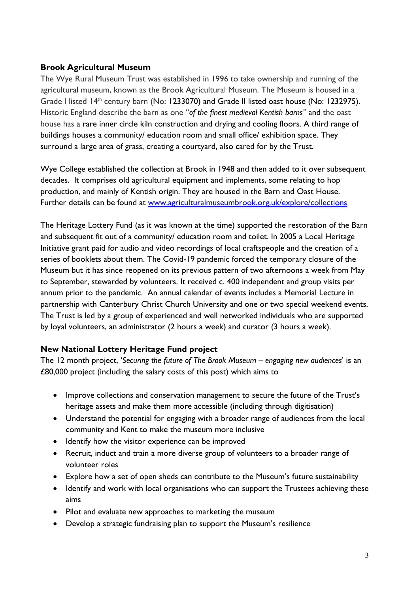#### **Brook Agricultural Museum**

The Wye Rural Museum Trust was established in 1996 to take ownership and running of the agricultural museum, known as the Brook Agricultural Museum. The Museum is housed in a Grade I listed 14<sup>th</sup> century barn (No: 1233070) and Grade II listed oast house (No: 1232975). Historic England describe the barn as one "*of the finest medieval Kentish barns"* and the oast house has a rare inner circle kiln construction and drying and cooling floors. A third range of buildings houses a community/ education room and small office/ exhibition space. They surround a large area of grass, creating a courtyard, also cared for by the Trust.

Wye College established the collection at Brook in 1948 and then added to it over subsequent decades. It comprises old agricultural equipment and implements, some relating to hop production, and mainly of Kentish origin. They are housed in the Barn and Oast House. Further details can be found at www.agriculturalmuseumbrook.org.uk/explore/collections

The Heritage Lottery Fund (as it was known at the time) supported the restoration of the Barn and subsequent fit out of a community/ education room and toilet. In 2005 a Local Heritage Initiative grant paid for audio and video recordings of local craftspeople and the creation of a series of booklets about them. The Covid-19 pandemic forced the temporary closure of the Museum but it has since reopened on its previous pattern of two afternoons a week from May to September, stewarded by volunteers. It received c. 400 independent and group visits per annum prior to the pandemic. An annual calendar of events includes a Memorial Lecture in partnership with Canterbury Christ Church University and one or two special weekend events. The Trust is led by a group of experienced and well networked individuals who are supported by loyal volunteers, an administrator (2 hours a week) and curator (3 hours a week).

### **New National Lottery Heritage Fund project**

The 12 month project, '*Securing the future of The Brook Museum – engaging new audiences*' is an £80,000 project (including the salary costs of this post) which aims to

- Improve collections and conservation management to secure the future of the Trust's heritage assets and make them more accessible (including through digitisation)
- Understand the potential for engaging with a broader range of audiences from the local community and Kent to make the museum more inclusive
- Identify how the visitor experience can be improved
- Recruit, induct and train a more diverse group of volunteers to a broader range of volunteer roles
- Explore how a set of open sheds can contribute to the Museum's future sustainability
- Identify and work with local organisations who can support the Trustees achieving these aims
- Pilot and evaluate new approaches to marketing the museum
- Develop a strategic fundraising plan to support the Museum's resilience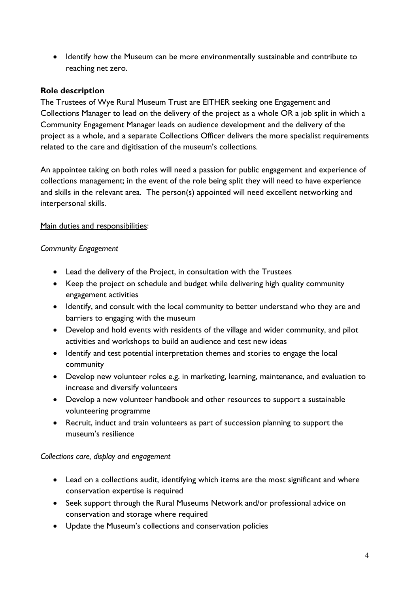• Identify how the Museum can be more environmentally sustainable and contribute to reaching net zero.

#### **Role description**

The Trustees of Wye Rural Museum Trust are EITHER seeking one Engagement and Collections Manager to lead on the delivery of the project as a whole OR a job split in which a Community Engagement Manager leads on audience development and the delivery of the project as a whole, and a separate Collections Officer delivers the more specialist requirements related to the care and digitisation of the museum's collections.

An appointee taking on both roles will need a passion for public engagement and experience of collections management; in the event of the role being split they will need to have experience and skills in the relevant area. The person(s) appointed will need excellent networking and interpersonal skills.

#### Main duties and responsibilities:

#### *Community Engagement*

- Lead the delivery of the Project, in consultation with the Trustees
- Keep the project on schedule and budget while delivering high quality community engagement activities
- Identify, and consult with the local community to better understand who they are and barriers to engaging with the museum
- Develop and hold events with residents of the village and wider community, and pilot activities and workshops to build an audience and test new ideas
- Identify and test potential interpretation themes and stories to engage the local community
- Develop new volunteer roles e.g. in marketing, learning, maintenance, and evaluation to increase and diversify volunteers
- Develop a new volunteer handbook and other resources to support a sustainable volunteering programme
- Recruit, induct and train volunteers as part of succession planning to support the museum's resilience

#### *Collections care, display and engagement*

- Lead on a collections audit, identifying which items are the most significant and where conservation expertise is required
- Seek support through the Rural Museums Network and/or professional advice on conservation and storage where required
- Update the Museum's collections and conservation policies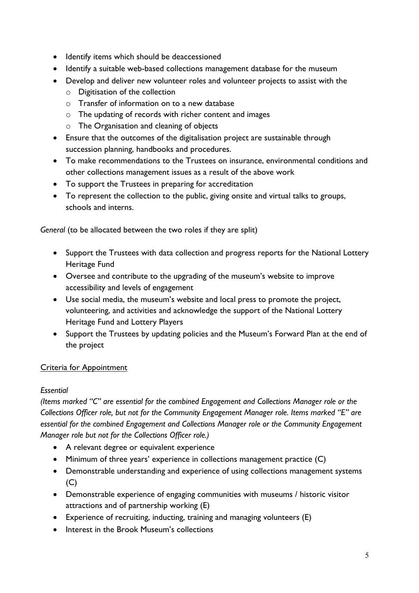- Identify items which should be deaccessioned
- Identify a suitable web-based collections management database for the museum
- Develop and deliver new volunteer roles and volunteer projects to assist with the
	- o Digitisation of the collection
	- o Transfer of information on to a new database
	- o The updating of records with richer content and images
	- o The Organisation and cleaning of objects
- Ensure that the outcomes of the digitalisation project are sustainable through succession planning, handbooks and procedures.
- To make recommendations to the Trustees on insurance, environmental conditions and other collections management issues as a result of the above work
- To support the Trustees in preparing for accreditation
- To represent the collection to the public, giving onsite and virtual talks to groups, schools and interns.

*General* (to be allocated between the two roles if they are split)

- Support the Trustees with data collection and progress reports for the National Lottery Heritage Fund
- Oversee and contribute to the upgrading of the museum's website to improve accessibility and levels of engagement
- Use social media, the museum's website and local press to promote the project, volunteering, and activities and acknowledge the support of the National Lottery Heritage Fund and Lottery Players
- Support the Trustees by updating policies and the Museum's Forward Plan at the end of the project

### Criteria for Appointment

#### *Essential*

*(Items marked "C" are essential for the combined Engagement and Collections Manager role or the Collections Officer role, but not for the Community Engagement Manager role. Items marked "E" are essential for the combined Engagement and Collections Manager role or the Community Engagement Manager role but not for the Collections Officer role.)*

- A relevant degree or equivalent experience
- Minimum of three years' experience in collections management practice (C)
- Demonstrable understanding and experience of using collections management systems  $(C)$
- Demonstrable experience of engaging communities with museums / historic visitor attractions and of partnership working (E)
- Experience of recruiting, inducting, training and managing volunteers (E)
- Interest in the Brook Museum's collections